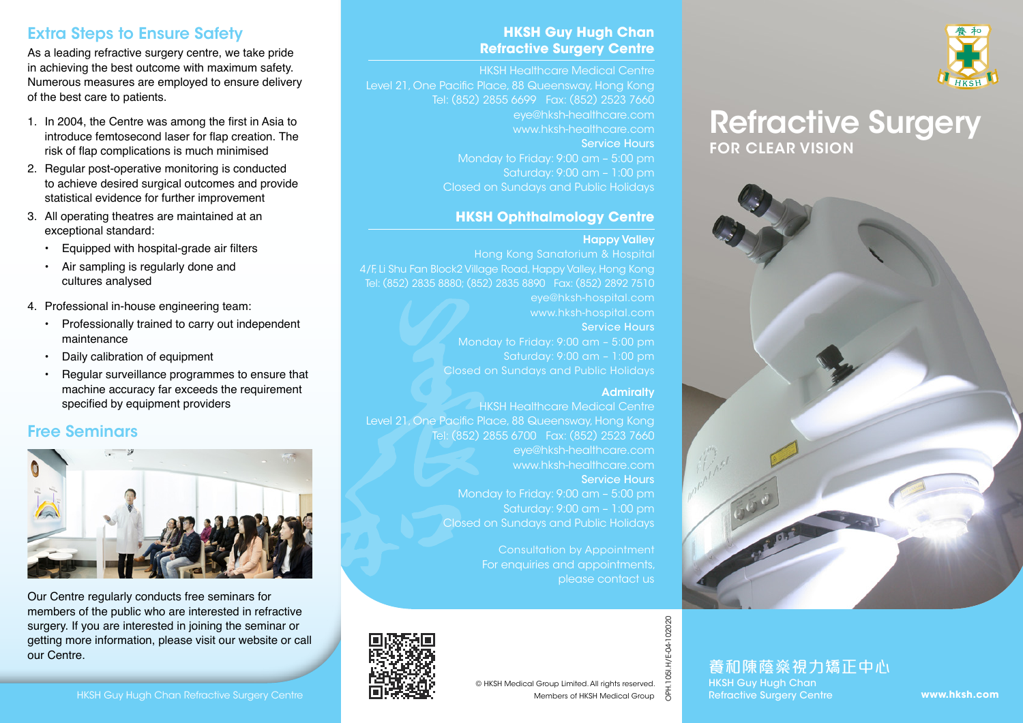## Extra Steps to Ensure Safety

As a leading refractive surgery centre, we take pride in achieving the best outcome with maximum safety. Numerous measures are employed to ensure delivery of the best care to patients.

- 1. In 2004, the Centre was among the first in Asia to introduce femtosecond laser for flap creation. The risk of flap complications is much minimised
- 2. Regular post-operative monitoring is conducted to achieve desired surgical outcomes and provide statistical evidence for further improvement
- 3. All operating theatres are maintained at an exceptional standard:
	- Equipped with hospital-grade air filters
	- Air sampling is regularly done and cultures analysed
- 4. Professional in-house engineering team:
	- Professionally trained to carry out independent maintenance
	- Daily calibration of equipment
	- Regular surveillance programmes to ensure that machine accuracy far exceeds the requirement specified by equipment providers

# Free Seminars



H Guy Hugh Chan Refractive Surgery Centre<br>
HKSH Guy Hugh Chan Refractive Surgery Centre<br>
HKSH Guy Hugh Chan Refractive Surgery Centre<br>
The Computer Refractive Surgery Centre<br>
The Computer Refractive Surgery Centre<br>
The Co Our Centre regularly conducts free seminars for members of the public who are interested in refractive surgery. If you are interested in joining the seminar or getting more information, please visit our website or call our Centre.

## **HKSH Guy Hugh Chan Refractive Surgery Centre**

HKSH Healthcare Medical Centre Level 21, One Pacific Place, 88 Queensway, Hong Kong Tel: (852) 2855 6699 Fax: (852) 2523 7660 eye@hksh-healthcare.com www.hksh-healthcare.com Service Hours Monday to Friday: 9:00 am – 5:00 pm Saturday: 9:00 am – 1:00 pm Closed on Sundays and Public Holidays

## **HKSH Ophthalmology Centre**

#### Happy Valley

Hong Kong Sanatorium & Hospital 4/F, Li Shu Fan Block2 Village Road, Happy Valley, Hong Kong Tel: (852) 2835 8880; (852) 2835 8890 Fax: (852) 2892 7510 eye@hksh-hospital.com www.hksh-hospital.com Service Hours Monday to Friday: 9:00 am – 5:00 pm Saturday: 9:00 am – 1:00 pm Closed on Sundays and Public Holidays

#### **Admiralty**

HKSH Healthcare Medical Centre Level 21, One Pacific Place, 88 Queensway, Hong Kong Tel: (852) 2855 6700 Fax: (852) 2523 7660 eye@hksh-healthcare.com www.hksh-healthcare.com Service Hours Monday to Friday: 9:00 am – 5:00 pm Saturday: 9:00 am – 1:00 pm Closed on Sundays and Public Holidays

> Consultation by Appointment For enquiries and appointments, please contact us





HKSH Guy Hugh Chan



# Refractive Surgery FOR CLEAR VISION